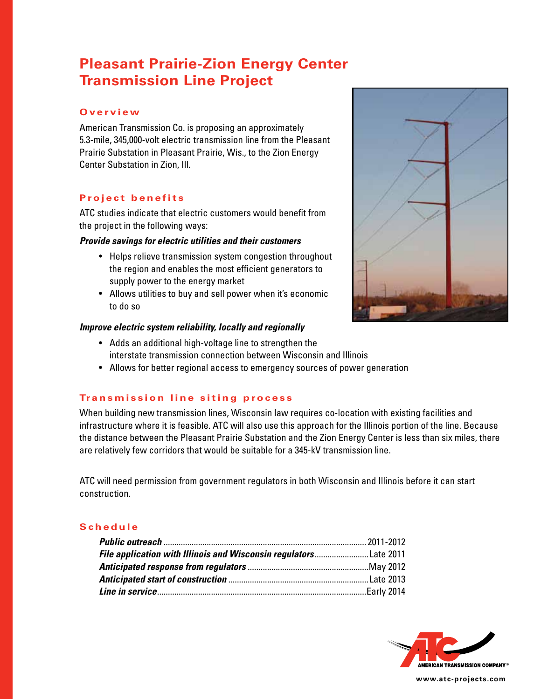# **Pleasant Prairie-Zion Energy Center Transmission Line Project**

## **O v e r v i e w**

American Transmission Co. is proposing an approximately 5.3-mile, 345,000-volt electric transmission line from the Pleasant Prairie Substation in Pleasant Prairie, Wis., to the Zion Energy Center Substation in Zion, Ill.

# **Project benefits**

ATC studies indicate that electric customers would benefit from the project in the following ways:

## *Provide savings for electric utilities and their customers*

- Helps relieve transmission system congestion throughout the region and enables the most efficient generators to supply power to the energy market
- Allows utilities to buy and sell power when it's economic to do so

#### *Improve electric system reliability, locally and regionally*

- Adds an additional high-voltage line to strengthen the interstate transmission connection between Wisconsin and Illinois
- Allows for better regional access to emergency sources of power generation

## **Transmission line siting process**

When building new transmission lines, Wisconsin law requires co-location with existing facilities and infrastructure where it is feasible. ATC will also use this approach for the Illinois portion of the line. Because the distance between the Pleasant Prairie Substation and the Zion Energy Center is less than six miles, there are relatively few corridors that would be suitable for a 345-kV transmission line.

ATC will need permission from government regulators in both Wisconsin and Illinois before it can start construction.

#### **S c h e d u l e**

| File application with Illinois and Wisconsin regulatorsLate 2011 |  |
|------------------------------------------------------------------|--|
|                                                                  |  |
|                                                                  |  |
|                                                                  |  |



**www.atc-projects.com**